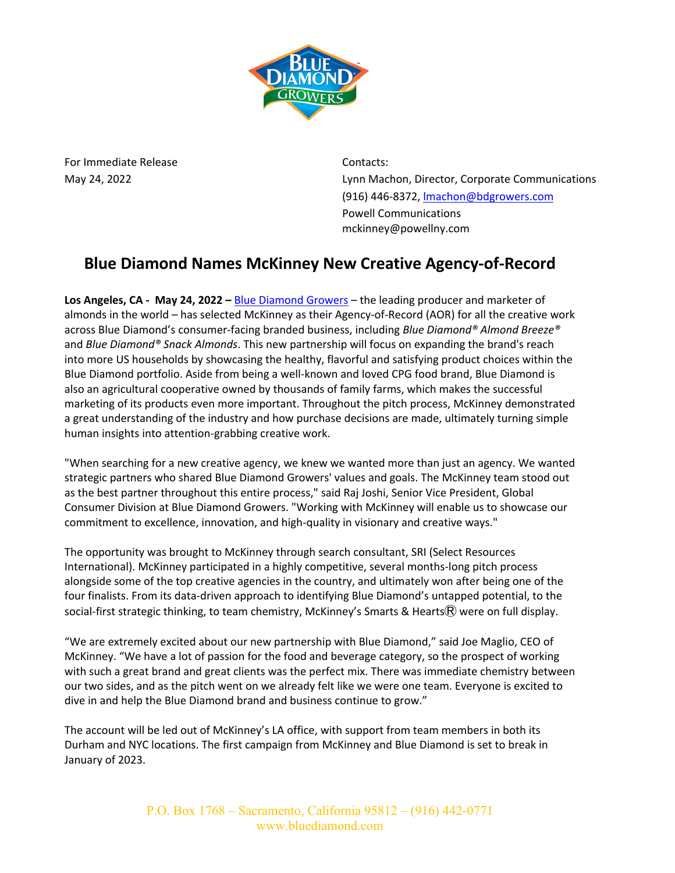

For Immediate Release **Contacts:** 

May 24, 2022 Lynn Machon, Director, Corporate Communications (916) 446-8372, lmachon@bdgrowers.com Powell Communications mckinney@powellny.com

## **Blue Diamond Names McKinney New Creative Agency-of-Record**

**Los Angeles, CA - May 24, 2022 –** Blue Diamond Growers – the leading producer and marketer of almonds in the world – has selected McKinney as their Agency-of-Record (AOR) for all the creative work across Blue Diamond's consumer-facing branded business, including *Blue Diamond® Almond Breeze®* and *Blue Diamond® Snack Almonds*. This new partnership will focus on expanding the brand's reach into more US households by showcasing the healthy, flavorful and satisfying product choices within the Blue Diamond portfolio. Aside from being a well-known and loved CPG food brand, Blue Diamond is also an agricultural cooperative owned by thousands of family farms, which makes the successful marketing of its products even more important. Throughout the pitch process, McKinney demonstrated a great understanding of the industry and how purchase decisions are made, ultimately turning simple human insights into attention-grabbing creative work.

"When searching for a new creative agency, we knew we wanted more than just an agency. We wanted strategic partners who shared Blue Diamond Growers' values and goals. The McKinney team stood out as the best partner throughout this entire process," said Raj Joshi, Senior Vice President, Global Consumer Division at Blue Diamond Growers. "Working with McKinney will enable us to showcase our commitment to excellence, innovation, and high-quality in visionary and creative ways."

The opportunity was brought to McKinney through search consultant, SRI (Select Resources International). McKinney participated in a highly competitive, several months-long pitch process alongside some of the top creative agencies in the country, and ultimately won after being one of the four finalists. From its data-driven approach to identifying Blue Diamond's untapped potential, to the social-first strategic thinking, to team chemistry, McKinney's Smarts & Hearts $\mathcal{R}$  were on full display.

"We are extremely excited about our new partnership with Blue Diamond," said Joe Maglio, CEO of McKinney. "We have a lot of passion for the food and beverage category, so the prospect of working with such a great brand and great clients was the perfect mix. There was immediate chemistry between our two sides, and as the pitch went on we already felt like we were one team. Everyone is excited to dive in and help the Blue Diamond brand and business continue to grow."

The account will be led out of McKinney's LA office, with support from team members in both its Durham and NYC locations. The first campaign from McKinney and Blue Diamond is set to break in January of 2023.